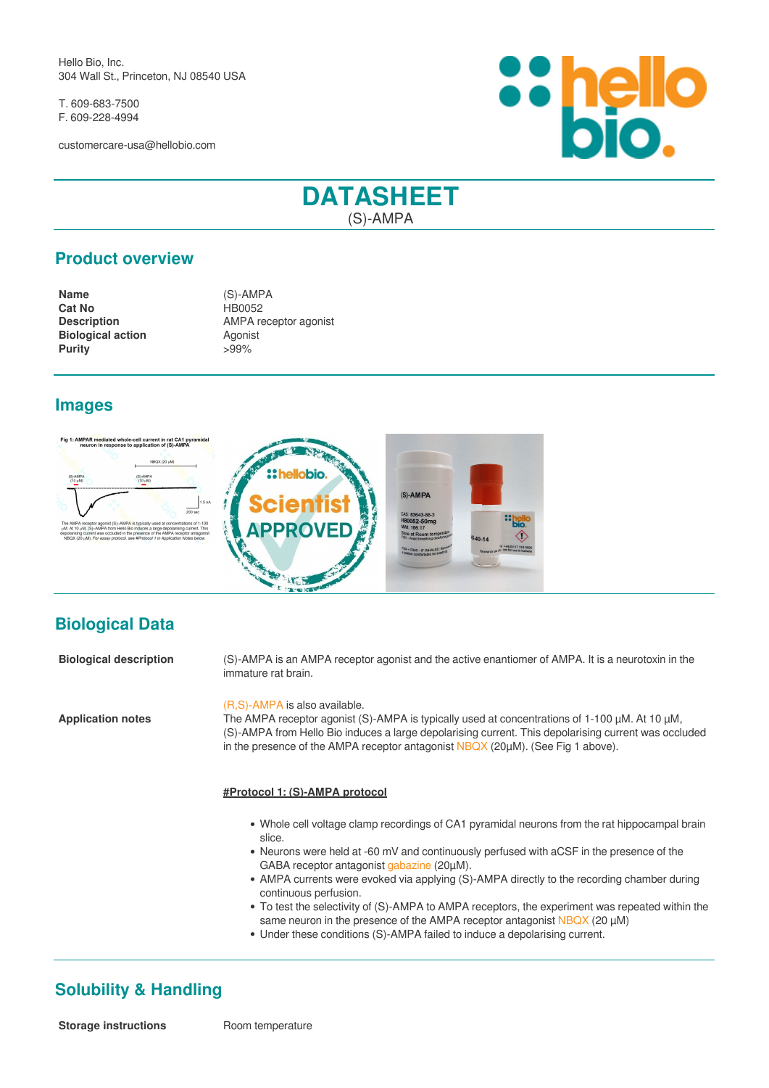Hello Bio, Inc. 304 Wall St., Princeton, NJ 08540 USA

T. 609-683-7500 F. 609-228-4994

customercare-usa@hellobio.com



# **DATASHEET** (S)-AMPA

### **Product overview**

| <b>Name</b>              | $(S)$ -AMPA           |
|--------------------------|-----------------------|
| <b>Cat No</b>            | HB0052                |
| <b>Description</b>       | AMPA receptor agonist |
| <b>Biological action</b> | Agonist               |
| <b>Purity</b>            | $>99\%$               |

#### **Images**



## **Biological Data**

| <b>Biological description</b> | (S)-AMPA is an AMPA receptor agonist and the active enantiomer of AMPA. It is a neurotoxin in the<br>immature rat brain.                                                                                                                                                                                                          |
|-------------------------------|-----------------------------------------------------------------------------------------------------------------------------------------------------------------------------------------------------------------------------------------------------------------------------------------------------------------------------------|
| <b>Application notes</b>      | (R,S)-AMPA is also available.<br>The AMPA receptor agonist (S)-AMPA is typically used at concentrations of 1-100 µM. At 10 µM,<br>(S)-AMPA from Hello Bio induces a large depolarising current. This depolarising current was occluded<br>in the presence of the AMPA receptor antagonist $NBAX$ (20 $\mu$ M). (See Fig 1 above). |
|                               | #Protocol 1: (S)-AMPA protocol                                                                                                                                                                                                                                                                                                    |
|                               | • Whole cell voltage clamp recordings of CA1 pyramidal neurons from the rat hippocampal brain<br>slice.                                                                                                                                                                                                                           |
|                               | • Neurons were held at -60 mV and continuously perfused with aCSF in the presence of the<br>GABA receptor antagonist gabazine (20µM).                                                                                                                                                                                             |
|                               | • AMPA currents were evoked via applying (S)-AMPA directly to the recording chamber during<br>continuous perfusion.                                                                                                                                                                                                               |
|                               | • To test the selectivity of (S)-AMPA to AMPA receptors, the experiment was repeated within the<br>same neuron in the presence of the AMPA receptor antagonist $NBA$ (20 $\mu$ M)                                                                                                                                                 |

Under these conditions (S)-AMPA failed to induce a depolarising current.

## **Solubility & Handling**

**Storage instructions** Room temperature